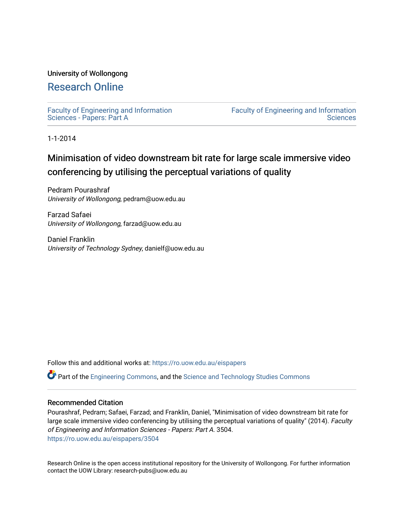# University of Wollongong

# [Research Online](https://ro.uow.edu.au/)

[Faculty of Engineering and Information](https://ro.uow.edu.au/eispapers)  [Sciences - Papers: Part A](https://ro.uow.edu.au/eispapers) 

[Faculty of Engineering and Information](https://ro.uow.edu.au/eis)  **Sciences** 

1-1-2014

# Minimisation of video downstream bit rate for large scale immersive video conferencing by utilising the perceptual variations of quality

Pedram Pourashraf University of Wollongong, pedram@uow.edu.au

Farzad Safaei University of Wollongong, farzad@uow.edu.au

Daniel Franklin University of Technology Sydney, danielf@uow.edu.au

Follow this and additional works at: [https://ro.uow.edu.au/eispapers](https://ro.uow.edu.au/eispapers?utm_source=ro.uow.edu.au%2Feispapers%2F3504&utm_medium=PDF&utm_campaign=PDFCoverPages)

Part of the [Engineering Commons](http://network.bepress.com/hgg/discipline/217?utm_source=ro.uow.edu.au%2Feispapers%2F3504&utm_medium=PDF&utm_campaign=PDFCoverPages), and the [Science and Technology Studies Commons](http://network.bepress.com/hgg/discipline/435?utm_source=ro.uow.edu.au%2Feispapers%2F3504&utm_medium=PDF&utm_campaign=PDFCoverPages)

## Recommended Citation

Pourashraf, Pedram; Safaei, Farzad; and Franklin, Daniel, "Minimisation of video downstream bit rate for large scale immersive video conferencing by utilising the perceptual variations of quality" (2014). Faculty of Engineering and Information Sciences - Papers: Part A. 3504. [https://ro.uow.edu.au/eispapers/3504](https://ro.uow.edu.au/eispapers/3504?utm_source=ro.uow.edu.au%2Feispapers%2F3504&utm_medium=PDF&utm_campaign=PDFCoverPages) 

Research Online is the open access institutional repository for the University of Wollongong. For further information contact the UOW Library: research-pubs@uow.edu.au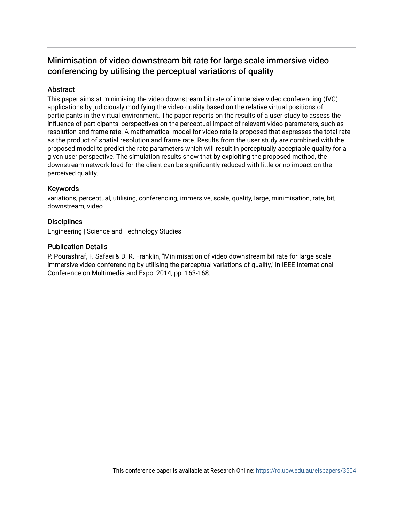# Minimisation of video downstream bit rate for large scale immersive video conferencing by utilising the perceptual variations of quality

# Abstract

This paper aims at minimising the video downstream bit rate of immersive video conferencing (IVC) applications by judiciously modifying the video quality based on the relative virtual positions of participants in the virtual environment. The paper reports on the results of a user study to assess the influence of participants' perspectives on the perceptual impact of relevant video parameters, such as resolution and frame rate. A mathematical model for video rate is proposed that expresses the total rate as the product of spatial resolution and frame rate. Results from the user study are combined with the proposed model to predict the rate parameters which will result in perceptually acceptable quality for a given user perspective. The simulation results show that by exploiting the proposed method, the downstream network load for the client can be significantly reduced with little or no impact on the perceived quality.

# Keywords

variations, perceptual, utilising, conferencing, immersive, scale, quality, large, minimisation, rate, bit, downstream, video

# **Disciplines**

Engineering | Science and Technology Studies

# Publication Details

P. Pourashraf, F. Safaei & D. R. Franklin, "Minimisation of video downstream bit rate for large scale immersive video conferencing by utilising the perceptual variations of quality," in IEEE International Conference on Multimedia and Expo, 2014, pp. 163-168.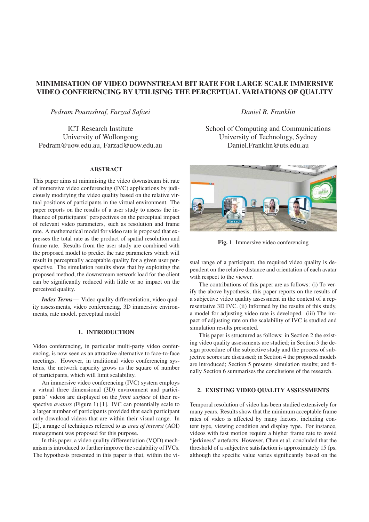# MINIMISATION OF VIDEO DOWNSTREAM BIT RATE FOR LARGE SCALE IMMERSIVE VIDEO CONFERENCING BY UTILISING THE PERCEPTUAL VARIATIONS OF QUALITY

*Pedram Pourashraf, Farzad Safaei*

ICT Research Institute University of Wollongong Pedram@uow.edu.au, Farzad@uow.edu.au

### **ABSTRACT**

This paper aims at minimising the video downstream bit rate of immersive video conferencing (IVC) applications by judiciously modifying the video quality based on the relative virtual positions of participants in the virtual environment. The paper reports on the results of a user study to assess the influence of participants' perspectives on the perceptual impact of relevant video parameters, such as resolution and frame rate. A mathematical model for video rate is proposed that expresses the total rate as the product of spatial resolution and frame rate. Results from the user study are combined with the proposed model to predict the rate parameters which will result in perceptually acceptable quality for a given user perspective. The simulation results show that by exploiting the proposed method, the downstream network load for the client can be significantly reduced with little or no impact on the perceived quality.

*Index Terms*— Video quality differentiation, video quality assessments, video conferencing, 3D immersive environments, rate model, perceptual model

## 1. INTRODUCTION

Video conferencing, in particular multi-party video conferencing, is now seen as an attractive alternative to face-to-face meetings. However, in traditional video conferencing systems, the network capacity grows as the square of number of participants, which will limit scalability.

An immersive video conferencing (IVC) system employs a virtual three dimensional (3D) environment and participants' videos are displayed on the *front surface* of their respective *avatars* (Figure 1) [1]. IVC can potentially scale to a larger number of participants provided that each participant only download videos that are within their visual range. In [2], a range of techniques referred to as *area of interest* (AOI) management was proposed for this purpose.

In this paper, a video quality differentiation (VQD) mechanism is introduced to further improve the scalability of IVCs. The hypothesis presented in this paper is that, within the vi*Daniel R. Franklin*

School of Computing and Communications University of Technology, Sydney Daniel.Franklin@uts.edu.au



Fig. 1. Immersive video conferencing

sual range of a participant, the required video quality is dependent on the relative distance and orientation of each avatar with respect to the viewer.

The contributions of this paper are as follows: (i) To verify the above hypothesis, this paper reports on the results of a subjective video quality assessment in the context of a representative 3D IVC. (ii) Informed by the results of this study, a model for adjusting video rate is developed. (iii) The impact of adjusting rate on the scalability of IVC is studied and simulation results presented.

This paper is structured as follows: in Section 2 the existing video quality assessments are studied; in Section 3 the design procedure of the subjective study and the process of subjective scores are discussed; in Section 4 the proposed models are introduced; Section 5 presents simulation results; and finally Section 6 summarises the conclusions of the research.

## 2. EXISTING VIDEO QUALITY ASSESSMENTS

Temporal resolution of video has been studied extensively for many years. Results show that the minimum acceptable frame rates of video is affected by many factors, including content type, viewing condition and display type. For instance, videos with fast motion require a higher frame rate to avoid "jerkiness" artefacts. However, Chen et al. concluded that the threshold of a subjective satisfaction is approximately 15 fps, although the specific value varies significantly based on the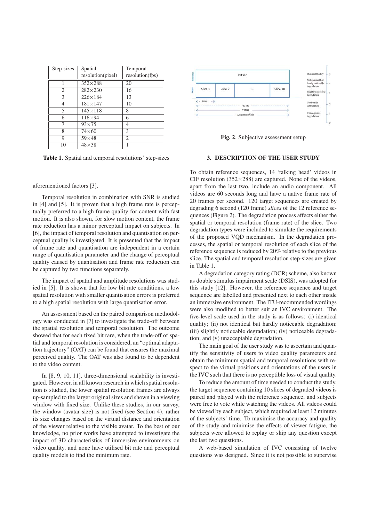| Step-sizes | Spatial           | Temporal        |
|------------|-------------------|-----------------|
|            | resolution(pixel) | resolution(fps) |
|            | $352\times288$    | 20              |
| 2          | $282 \times 230$  | 16              |
| 3          | $226 \times 184$  | 13              |
| 4          | $181 \times 147$  | 10              |
| 5          | $145\times118$    | 8               |
| 6          | $116\times94$     | 6               |
| 7          | $93\times75$      | 4               |
| 8          | $74\times 60$     | 3               |
| 9          | $59\times48$      | 2               |
| 10         | $48\times38$      |                 |

Table 1. Spatial and temporal resolutions' step-sizes

#### aforementioned factors [3].

Temporal resolution in combination with SNR is studied in [4] and [5]. It is proven that a high frame rate is perceptually preferred to a high frame quality for content with fast motion. It is also shown, for slow motion content, the frame rate reduction has a minor perceptual impact on subjects. In [6], the impact of temporal resolution and quantisation on perceptual quality is investigated. It is presented that the impact of frame rate and quantisation are independent in a certain range of quantisation parameter and the change of perceptual quality caused by quantisation and frame rate reduction can be captured by two functions separately.

The impact of spatial and amplitude resolutions was studied in [5]. It is shown that for low bit rate conditions, a low spatial resolution with smaller quantisation errors is preferred to a high spatial resolution with large quantisation error.

An assessment based on the paired comparison methodology was conducted in [7] to investigate the trade-off between the spatial resolution and temporal resolution. The outcome showed that for each fixed bit rare, when the trade-off of spatial and temporal resolution is considered, an "optimal adaptation trajectory" (OAT) can be found that ensures the maximal perceived quality. The OAT was also found to be dependent to the video content.

In [8, 9, 10, 11], three-dimensional scalability is investigated. However, in all known research in which spatial resolution is studied, the lower spatial resolution frames are always up-sampled to the larger original sizes and shown in a viewing window with fixed size. Unlike these studies, in our survey, the window (avatar size) is not fixed (see Section 4), rather its size changes based on the virtual distance and orientation of the viewer relative to the visible avatar. To the best of our knowledge, no prior works have attempted to investigate the impact of 3D characteristics of immersive environments on video quality, and none have utilised bit rate and perceptual quality models to find the minimum rate.



Fig. 2. Subjective assessment setup

#### 3. DESCRIPTION OF THE USER STUDY

To obtain reference sequences, 14 'talking head' videos in CIF resolution (352 $\times$ 288) are captured. None of the videos, apart from the last two, include an audio component. All videos are 60 seconds long and have a native frame rate of 20 frames per second. 120 target sequences are created by degrading 6 second (120 frame) *slices* of the 12 reference sequences (Figure 2). The degradation process affects either the spatial or temporal resolution (frame rate) of the slice. Two degradation types were included to simulate the requirements of the proposed VQD mechanism. In the degradation processes, the spatial or temporal resolution of each slice of the reference sequence is reduced by 20% relative to the previous slice. The spatial and temporal resolution step-sizes are given in Table 1.

A degradation category rating (DCR) scheme, also known as double stimulus impairment scale (DSIS), was adopted for this study [12]. However, the reference sequence and target sequence are labelled and presented next to each other inside an immersive environment. The ITU-recommended wordings were also modified to better suit an IVC environment. The five-level scale used in the study is as follows: (i) identical quality; (ii) not identical but hardly noticeable degradation; (iii) slightly noticeable degradation; (iv) noticeable degradation; and (v) unacceptable degradation.

The main goal of the user study was to ascertain and quantify the sensitivity of users to video quality parameters and obtain the minimum spatial and temporal resolutions with respect to the virtual positions and orientations of the users in the IVC such that there is no perceptible loss of visual quality.

To reduce the amount of time needed to conduct the study, the target sequence containing 10 slices of degraded videos is paired and played with the reference sequence, and subjects were free to vote while watching the videos. All videos could be viewed by each subject, which required at least 12 minutes of the subjects' time. To maximise the accuracy and quality of the study and minimise the effects of viewer fatigue, the subjects were allowed to replay or skip any question except the last two questions.

A web-based simulation of IVC consisting of twelve questions was designed. Since it is not possible to supervise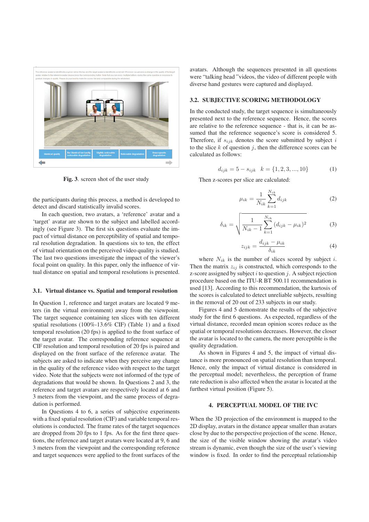

Fig. 3. screen shot of the user study

the participants during this process, a method is developed to detect and discard statistically invalid scores.

In each question, two avatars, a 'reference' avatar and a 'target' avatar are shown to the subject and labelled accordingly (see Figure 3). The first six questions evaluate the impact of virtual distance on perceptibility of spatial and temporal resolution degradation. In questions six to ten, the effect of virtual orientation on the perceived video quality is studied. The last two questions investigate the impact of the viewer's focal point on quality. In this paper, only the influence of virtual distance on spatial and temporal resolutions is presented.

#### 3.1. Virtual distance vs. Spatial and temporal resolution

In Question 1, reference and target avatars are located 9 meters (in the virtual environment) away from the viewpoint. The target sequence containing ten slices with ten different spatial resolutions (100%-13.6% CIF) (Table 1) and a fixed temporal resolution (20 fps) is applied to the front surface of the target avatar. The corresponding reference sequence at CIF resolution and temporal resolution of 20 fps is paired and displayed on the front surface of the reference avatar. The subjects are asked to indicate when they perceive any change in the quality of the reference video with respect to the target video. Note that the subjects were not informed of the type of degradations that would be shown. In Questions 2 and 3, the reference and target avatars are respectively located at 6 and 3 meters from the viewpoint, and the same process of degradation is performed.

In Questions 4 to 6, a series of subjective experiments with a fixed spatial resolution (CIF) and variable temporal resolutions is conducted. The frame rates of the target sequences are dropped from 20 fps to 1 fps. As for the first three questions, the reference and target avatars were located at 9, 6 and 3 meters from the viewpoint and the corresponding reference and target sequences were applied to the front surfaces of the avatars. Although the sequences presented in all questions were "talking head "videos, the video of different people with diverse hand gestures were captured and displayed.

## 3.2. SUBJECTIVE SCORING METHODOLOGY

In the conducted study, the target sequence is simultaneously presented next to the reference sequence. Hence, the scores are relative to the reference sequence - that is, it can be assumed that the reference sequence's score is considered 5. Therefore, if  $s_{ijk}$  denotes the score submitted by subject i to the slice  $k$  of question  $j$ , then the difference scores can be calculated as follows:

$$
d_{ijk} = 5 - s_{ijk} \quad k = \{1, 2, 3, ..., 10\} \tag{1}
$$

Then z-scores per slice are calculated:

$$
\mu_{ik} = \frac{1}{N_{ik}} \sum_{k=1}^{N_{ik}} d_{ijk} \tag{2}
$$

$$
\delta_{ik} = \sqrt{\frac{1}{N_{ik} - 1} \sum_{k=1}^{N_{ik}} (d_{ijk} - \mu_{ik})^2}
$$
 (3)

$$
z_{ijk} = \frac{d_{ijk} - \mu_{ik}}{\delta_{ik}} \tag{4}
$$

where  $N_{ik}$  is the number of slices scored by subject i. Then the matrix  $z_{ij}$  is constructed, which corresponds to the z-score assigned by subject  $i$  to question  $j$ . A subject rejection procedure based on the ITU-R BT 500.11 recommendation is used [13]. According to this recommendation, the kurtosis of the scores is calculated to detect unreliable subjects, resulting in the removal of 20 out of 233 subjects in our study.

Figures 4 and 5 demonstrate the results of the subjective study for the first 6 questions. As expected, regardless of the virtual distance, recorded mean opinion scores reduce as the spatial or temporal resolutions decreases. However, the closer the avatar is located to the camera, the more perceptible is the quality degradation.

As shown in Figures 4 and 5, the impact of virtual distance is more pronounced on spatial resolution than temporal. Hence, only the impact of virtual distance is considered in the perceptual model; nevertheless, the perception of frame rate reduction is also affected when the avatar is located at the furthest virtual position (Figure 5).

## 4. PERCEPTUAL MODEL OF THE IVC

When the 3D projection of the environment is mapped to the 2D display, avatars in the distance appear smaller than avatars close by due to the perspective projection of the scene. Hence, the size of the visible window showing the avatar's video stream is dynamic, even though the size of the user's viewing window is fixed. In order to find the perceptual relationship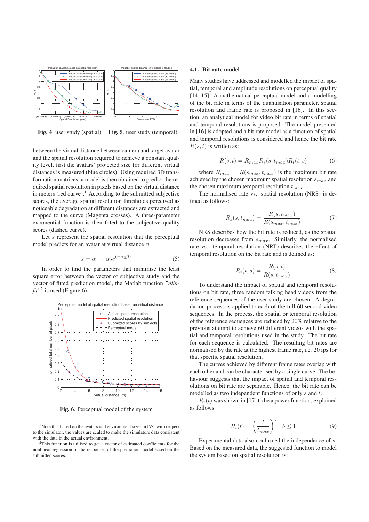



between the virtual distance between camera and target avatar and the spatial resolution required to achieve a constant quality level, first the avatars' projected size for different virtual distances is measured (blue circles). Using required 3D transformation matrices, a model is then obtained to predict the required spatial resolution in pixels based on the virtual distance in meters (red curve).<sup>1</sup> According to the submitted subjective scores, the average spatial resolution thresholds perceived as noticeable degradation at different distances are extracted and mapped to the curve (Magenta crosses). A three-parameter exponential function is then fitted to the subjective quality scores (dashed curve).

Let  $s$  represent the spatial resolution that the perceptual model predicts for an avatar at virtual distance  $\beta$ .

$$
s = \alpha_1 + \alpha_2 e^{(-\alpha_3 \beta)} \tag{5}
$$

In order to find the parameters that minimise the least square error between the vector of subjective study and the vector of fitted prediction model, the Matlab function *"nlin-* $\hat{t}$ <sup>n<sup>2</sup> is used (Figure 6).</sup>



Fig. 6. Perceptual model of the system

### 4.1. Bit-rate model

Many studies have addressed and modelled the impact of spatial, temporal and amplitude resolutions on perceptual quality [14, 15]. A mathematical perceptual model and a modelling of the bit rate in terms of the quantisation parameter, spatial resolution and frame rate is proposed in [16]. In this section, an analytical model for video bit rate in terms of spatial and temporal resolutions is proposed. The model presented in [16] is adopted and a bit rate model as a function of spatial and temporal resolutions is considered and hence the bit rate  $R(s, t)$  is written as:

$$
R(s,t) = R_{max} R_s(s, t_{max}) R_t(t,s)
$$
 (6)

where  $R_{max} = R(s_{max}, t_{max})$  is the maximum bit rate achieved by the chosen maximum spatial resolution  $s_{max}$  and the chosen maximum temporal resolution  $t_{max}$ .

The normalised rate vs. spatial resolution (NRS) is defined as follows:

$$
R_s(s, t_{max}) = \frac{R(s, t_{max})}{R(s_{max}, t_{max})}
$$
(7)

NRS describes how the bit rate is reduced, as the spatial resolution decreases from  $s_{max}$ . Similarly, the normalised rate vs. temporal resolution (NRT) describes the effect of temporal resolution on the bit rate and is defined as:

$$
R_t(t,s) = \frac{R(s,t)}{R(s,t_{max})}
$$
\n(8)

To understand the impact of spatial and temporal resolutions on bit rate, three random talking head videos from the reference sequences of the user study are chosen. A degradation process is applied to each of the full 60 second video sequences. In the process, the spatial or temporal resolution of the reference sequences are reduced by 20% relative to the previous attempt to achieve 60 different videos with the spatial and temporal resolutions used in the study. The bit rate for each sequence is calculated. The resulting bit rates are normalised by the rate at the highest frame rate, i.e. 20 fps for that specific spatial resolution.

The curves achieved by different frame rates overlap with each other and can be characterised by a single curve. The behaviour suggests that the impact of spatial and temporal resolutions on bit rate are separable. Hence, the bit rate can be modelled as two independent functions of only s and t.

 $R_t(t)$  was shown in [17] to be a power function, explained as follows:

$$
R_t(t) = \left(\frac{t}{t_{max}}\right)^b \quad b \le 1 \tag{9}
$$

Experimental data also confirmed the independence of s. Based on the measured data, the suggested function to model the system based on spatial resolution is:

<sup>&</sup>lt;sup>1</sup>Note that based on the avatars and environment sizes in IVC with respect to the simulator, the values are scaled to make the simulators data consistent with the data in the actual environment.

<sup>2</sup>This function is utilised to get a vector of estimated coefficients for the nonlinear regression of the responses of the prediction model based on the submitted scores.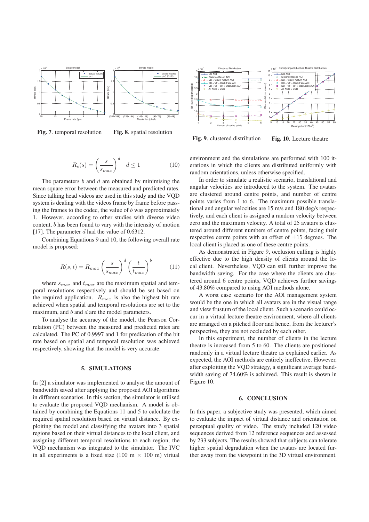

Fig. 7. temporal resolution Fig. 8. spatial resolution



Fig. 9. clustered distribution Fig. 10. Lecture theatre

$$
R_s(s) = \left(\frac{s}{s_{max}}\right)^d \quad d \le 1 \tag{10}
$$

The parameters  $b$  and  $d$  are obtained by minimising the mean square error between the measured and predicted rates. Since talking head videos are used in this study and the VQD system is dealing with the videos frame by frame before passing the frames to the codec, the value of  $b$  was approximately 1. However, according to other studies with diverse video content, b has been found to vary with the intensity of motion [17]. The parameter  $d$  had the value of 0.6312.

Combining Equations 9 and 10, the following overall rate model is proposed:

$$
R(s,t) = R_{max} \left(\frac{s}{s_{max}}\right)^d \left(\frac{t}{t_{max}}\right)^b \tag{11}
$$

where  $s_{max}$  and  $t_{max}$  are the maximum spatial and temporal resolutions respectively and should be set based on the required application.  $R_{max}$  is also the highest bit rate achieved when spatial and temporal resolutions are set to the maximum, and  $b$  and  $d$  are the model parameters.

To analyse the accuracy of the model, the Pearson Correlation (PC) between the measured and predicted rates are calculated. The PC of 0.9997 and 1 for predication of the bit rate based on spatial and temporal resolution was achieved respectively, showing that the model is very accurate.

#### 5. SIMULATIONS

In [2] a simulator was implemented to analyse the amount of bandwidth saved after applying the proposed AOI algorithms in different scenarios. In this section, the simulator is utilised to evaluate the proposed VQD mechanism. A model is obtained by combining the Equations 11 and 5 to calculate the required spatial resolution based on virtual distance. By exploiting the model and classifying the avatars into 3 spatial regions based on their virtual distances to the local client, and assigning different temporal resolutions to each region, the VQD mechanism was integrated to the simulator. The IVC in all experiments is a fixed size (100 m  $\times$  100 m) virtual

environment and the simulations are performed with 100 iterations in which the clients are distributed uniformly with random orientations, unless otherwise specified.

In order to simulate a realistic scenario, translational and angular velocities are introduced to the system. The avatars are clustered around centre points, and number of centre points varies from 1 to 6. The maximum possible translational and angular velocities are 15 m/s and 180 deg/s respectively, and each client is assigned a random velocity between zero and the maximum velocity. A total of 25 avatars is clustered around different numbers of centre points, facing their respective centre points with an offset of  $\pm 15$  degrees. The local client is placed as one of these centre points.

As demonstrated in Figure 9, occlusion culling is highly effective due to the high density of clients around the local client. Nevertheless, VQD can still further improve the bandwidth saving. For the case where the clients are clustered around 6 centre points, VQD achieves further savings of 43.80% compared to using AOI methods alone.

A worst case scenario for the AOI management system would be the one in which all avatars are in the visual range and view frustum of the local client. Such a scenario could occur in a virtual lecture theatre environment, where all clients are arranged on a pitched floor and hence, from the lecturer's perspective, they are not occluded by each other.

In this experiment, the number of clients in the lecture theatre is increased from 5 to 60. The clients are positioned randomly in a virtual lecture theatre as explained earlier. As expected, the AOI methods are entirely ineffective. However, after exploiting the VQD strategy, a significant average bandwidth saving of 74.60% is achieved. This result is shown in Figure 10.

### 6. CONCLUSION

In this paper, a subjective study was presented, which aimed to evaluate the impact of virtual distance and orientation on perceptual quality of video. The study included 120 video sequences derived from 12 reference sequences and assessed by 233 subjects. The results showed that subjects can tolerate higher spatial degradation when the avatars are located further away from the viewpoint in the 3D virtual environment.